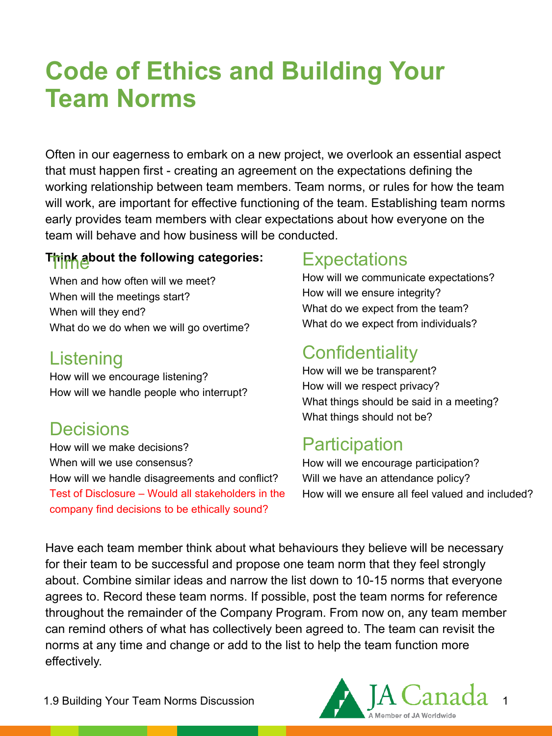# **Code of Ethics and Building Your Team Norms**

Often in our eagerness to embark on a new project, we overlook an essential aspect that must happen first - creating an agreement on the expectations defining the working relationship between team members. Team norms, or rules for how the team will work, are important for effective functioning of the team. Establishing team norms early provides team members with clear expectations about how everyone on the team will behave and how business will be conducted.

# T<mark>hipk a</mark>bout the following categories:

When and how often will we meet? When will the meetings start? When will they end? What do we do when we will go overtime?

#### **Listening**

How will we encourage listening? How will we handle people who interrupt?

#### **Decisions**

How will we make decisions? When will we use consensus? How will we handle disagreements and conflict? Test of Disclosure – Would all stakeholders in the company find decisions to be ethically sound?

### **Expectations**

How will we communicate expectations? How will we ensure integrity? What do we expect from the team? What do we expect from individuals?

# **Confidentiality**

How will we be transparent? How will we respect privacy? What things should be said in a meeting? What things should not be?

# **Participation**

How will we encourage participation? Will we have an attendance policy? How will we ensure all feel valued and included?

Have each team member think about what behaviours they believe will be necessary for their team to be successful and propose one team norm that they feel strongly about. Combine similar ideas and narrow the list down to 10-15 norms that everyone agrees to. Record these team norms. If possible, post the team norms for reference throughout the remainder of the Company Program. From now on, any team member can remind others of what has collectively been agreed to. The team can revisit the norms at any time and change or add to the list to help the team function more effectively.

1.9 Building Your Team Norms Discussion

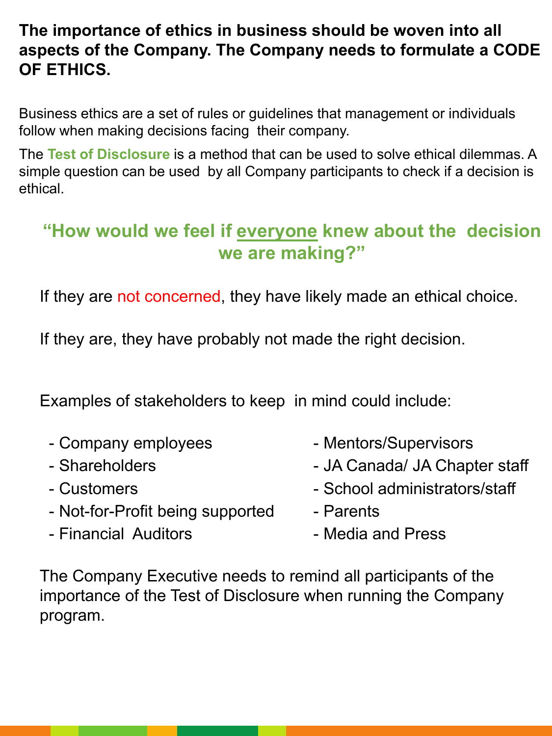#### **The importance of ethics in business should be woven into all aspects of the Company. The Company needs to formulate a CODE OF ETHICS.**

Business ethics are a set of rules or guidelines that management or individuals follow when making decisions facing their company.

The **Test of Disclosure** is a method that can be used to solve ethical dilemmas. A simple question can be used by all Company participants to check if a decision is ethical.

# **"How would we feel if everyone knew about the decision we are making?"**

If they are not concerned, they have likely made an ethical choice.

If they are, they have probably not made the right decision.

Examples of stakeholders to keep in mind could include:

- Company employees Mentors/Supervisors
- 
- 
- Not-for-Profit being supported Parents
- Financial Auditors  **Media and Press**
- 
- Shareholders  **JA Canada/ JA Chapter staff**
- Customers  **School administrators/staff** 
	-
	-

The Company Executive needs to remind all participants of the importance of the Test of Disclosure when running the Company program.